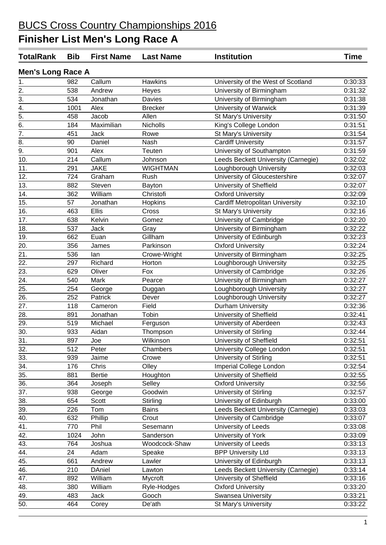| <b>TotalRank</b>         | <b>Bib</b> | <b>First Name</b> | <b>Last Name</b> | <b>Institution</b>                     | <b>Time</b> |
|--------------------------|------------|-------------------|------------------|----------------------------------------|-------------|
| <b>Men's Long Race A</b> |            |                   |                  |                                        |             |
| 1.                       | 982        | Callum            | <b>Hawkins</b>   | University of the West of Scotland     | 0:30:33     |
| 2.                       | 538        | Andrew            | Heyes            | University of Birmingham               | 0:31:32     |
| 3.                       | 534        | Jonathan          | Davies           | University of Birmingham               | 0:31:38     |
| 4.                       | 1001       | Alex              | <b>Brecker</b>   | University of Warwick                  | 0:31:39     |
| $\overline{5}$ .         | 458        | Jacob             | Allen            | St Mary's University                   | 0:31:50     |
| 6.                       | 184        | Maximilian        | Nicholls         | King's College London                  | 0:31:51     |
| 7.                       | 451        | <b>Jack</b>       | Rowe             | St Mary's University                   | 0:31:54     |
| 8.                       | 90         | Daniel            | Nash             | <b>Cardiff University</b>              | 0:31:57     |
| 9.                       | 901        | Alex              | Teuten           | University of Southampton              | 0:31:59     |
| 10.                      | 214        | Callum            | Johnson          | Leeds Beckett University (Carnegie)    | 0:32:02     |
| 11.                      | 291        | <b>JAKE</b>       | <b>WIGHTMAN</b>  | Loughborough University                | 0:32:03     |
| 12.                      | 724        | Graham            | Rush             | University of Gloucestershire          | 0:32:07     |
| 13.                      | 882        | Steven            | Bayton           | University of Sheffield                | 0:32:07     |
| 14.                      | 362        | William           | Christofi        | <b>Oxford University</b>               | 0:32:09     |
| 15.                      | 57         | Jonathan          | Hopkins          | <b>Cardiff Metropolitan University</b> | 0:32:10     |
| 16.                      | 463        | Ellis             | Cross            | St Mary's University                   | 0:32:16     |
| 17.                      | 638        | Kelvin            | Gomez            | University of Cambridge                | 0:32:20     |
| 18.                      | 537        | Jack              | Gray             | University of Birmingham               | 0:32:22     |
| 19.                      | 662        | Euan              | Gillham          | University of Edinburgh                | 0:32:23     |
| 20.                      | 356        | James             | Parkinson        | <b>Oxford University</b>               | 0:32:24     |
| 21.                      | 536        | lan               | Crowe-Wright     | University of Birmingham               | 0:32:25     |
| 22.                      | 297        | Richard           | Horton           | Loughborough University                | 0:32:25     |
| 23.                      | 629        | Oliver            | Fox              | University of Cambridge                | 0:32:26     |
| 24.                      | 540        | Mark              | Pearce           | University of Birmingham               | 0:32:27     |
| 25.                      | 254        | George            | Duggan           | Loughborough University                | 0:32:27     |
| 26.                      | 252        | Patrick           | Dever            | Loughborough University                | 0:32:27     |
| 27.                      | 118        | Cameron           | Field            | <b>Durham University</b>               | 0:32:36     |
| 28.                      | 891        | Jonathan          | Tobin            | University of Sheffield                | 0:32:41     |
|                          | 519        | Michael           |                  | University of Aberdeen                 | 0:32:43     |
| 29.<br>30.               | 933        | Aidan             | Ferguson         | University of Stirling                 | 0:32:44     |
|                          |            |                   | Thompson         |                                        |             |
| 31.                      | 897        | Joe               | Wilkinson        | University of Sheffield                | 0:32:51     |
| 32.                      | 512        | Peter             | Chambers         | University College London              | 0:32:51     |
| 33.                      | 939        | Jaime             | Crowe            | University of Stirling                 | 0:32:51     |
| 34.                      | 176        | Chris             | Olley            | Imperial College London                | 0:32:54     |
| 35.                      | 881        | <b>Bertie</b>     | Houghton         | University of Sheffield                | 0:32:55     |
| 36.                      | 364        | Joseph            | Selley           | <b>Oxford University</b>               | 0:32:56     |
| 37.                      | 938        | George            | Goodwin          | University of Stirling                 | 0:32:57     |
| 38.                      | 654        | Scott             | Stirling         | University of Edinburgh                | 0:33:00     |
| 39.                      | 226        | Tom               | <b>Bains</b>     | Leeds Beckett University (Carnegie)    | 0:33:03     |
| 40.                      | 632        | Phillip           | Crout            | University of Cambridge                | 0:33:07     |
| 41.                      | 770        | Phil              | Sesemann         | University of Leeds                    | 0:33:08     |
| 42.                      | 1024       | John              | Sanderson        | University of York                     | 0:33:09     |
| 43.                      | 764        | Joshua            | Woodcock-Shaw    | University of Leeds                    | 0:33:13     |
| 44.                      | 24         | Adam              | Speake           | <b>BPP University Ltd</b>              | 0:33:13     |
| 45.                      | 661        | Andrew            | Lawler           | University of Edinburgh                | 0:33:13     |
| 46.                      | 210        | <b>DAniel</b>     | Lawton           | Leeds Beckett University (Carnegie)    | 0:33:14     |
| 47.                      | 892        | William           | <b>Mycroft</b>   | University of Sheffield                | 0:33:16     |
| 48.                      | 380        | William           | Ryle-Hodges      | <b>Oxford University</b>               | 0:33:20     |
| 49.                      | 483        | Jack              | Gooch            | Swansea University                     | 0:33:21     |
| 50.                      | 464        | Corey             | De'ath           | St Mary's University                   | 0:33:22     |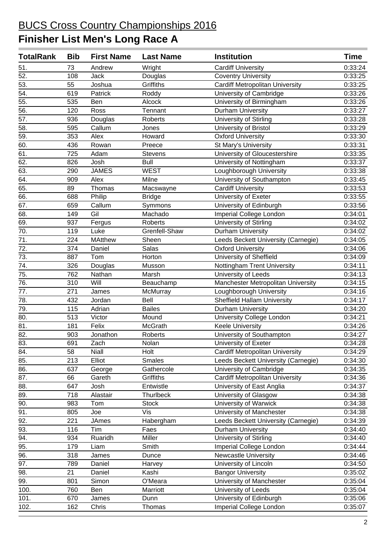| <b>TotalRank</b>  | <b>Bib</b> | <b>First Name</b> | <b>Last Name</b> | <b>Institution</b>                     | Time    |
|-------------------|------------|-------------------|------------------|----------------------------------------|---------|
| 51.               | 73         | Andrew            | Wright           | <b>Cardiff University</b>              | 0:33:24 |
| $\overline{52}$ . | 108        | Jack              | Douglas          | <b>Coventry University</b>             | 0:33:25 |
| 53.               | 55         | Joshua            | Griffiths        | <b>Cardiff Metropolitan University</b> | 0:33:25 |
| 54.               | 619        | Patrick           | Roddy            | University of Cambridge                | 0:33:26 |
| 55.               | 535        | Ben               | Alcock           | University of Birmingham               | 0:33:26 |
| $\overline{56}$ . | 120        | Ross              | Tennant          | Durham University                      | 0:33:27 |
| 57.               | 936        | Douglas           | Roberts          | University of Stirling                 | 0:33:28 |
| $\overline{58}$   | 595        | Callum            | Jones            | University of Bristol                  | 0:33:29 |
| 59.               | 353        | Alex              | Howard           | <b>Oxford University</b>               | 0:33:30 |
| 60.               | 436        | Rowan             | Preece           | St Mary's University                   | 0:33:31 |
| 61.               | 725        | Adam              | <b>Stevens</b>   | University of Gloucestershire          | 0:33:35 |
| 62.               | 826        | Josh              | <b>Bull</b>      | University of Nottingham               | 0:33:37 |
| 63.               | 290        | <b>JAMES</b>      | <b>WEST</b>      | Loughborough University                | 0:33:38 |
| 64.               | 909        | Alex              | Milne            | University of Southampton              | 0:33:45 |
| 65.               | 89         | Thomas            | Macswayne        | <b>Cardiff University</b>              | 0:33:53 |
| 66.               | 688        | Philip            | <b>Bridge</b>    | University of Exeter                   | 0:33:55 |
| 67.               | 659        | Callum            | Symmons          | University of Edinburgh                | 0:33:56 |
| 68.               | 149        | Gil               | Machado          | Imperial College London                | 0:34:01 |
| 69.               | 937        | Fergus            | Roberts          | University of Stirling                 | 0:34:02 |
| $\overline{70}$ . | 119        | Luke              | Grenfell-Shaw    | Durham University                      | 0:34:02 |
| 71.               | 224        | <b>MAtthew</b>    | Sheen            | Leeds Beckett University (Carnegie)    | 0:34:05 |
| 72.               | 374        | Daniel            | Salas            | <b>Oxford University</b>               | 0:34:06 |
| 73.               | 887        | Tom               | Horton           | University of Sheffield                | 0:34:09 |
| $\overline{74.}$  | 326        | Douglas           | Musson           | Nottingham Trent University            | 0:34:11 |
| 75.               | 762        | Nathan            | Marsh            | University of Leeds                    | 0:34:13 |
| 76.               | 310        | Will              | Beauchamp        | Manchester Metropolitan University     | 0:34:15 |
| 77.               | 271        | James             | McMurray         | Loughborough University                | 0:34:16 |
| $\overline{78}$ . | 432        | Jordan            | Bell             | <b>Sheffield Hallam University</b>     | 0:34:17 |
| 79.               | 115        | Adrian            | <b>Bailes</b>    | Durham University                      | 0:34:20 |
| 80.               | 513        | Victor            | Mound            | University College London              | 0:34:21 |
| 81.               | 181        | Felix             | McGrath          | <b>Keele University</b>                | 0:34:26 |
| $\overline{82}$ . | 903        | Jonathon          | Roberts          | University of Southampton              | 0:34:27 |
| 83.               | 691        | Zach              | Nolan            | University of Exeter                   | 0:34:28 |
| 84.               | 58         | Niall             | Holt             | <b>Cardiff Metropolitan University</b> | 0:34:29 |
| 85.               | 213        | Elliot            | <b>Smales</b>    | Leeds Beckett University (Carnegie)    | 0:34:30 |
| 86.               | 637        | George            | Gathercole       | University of Cambridge                | 0:34:35 |
| 87.               | 66         | Gareth            | Griffiths        | <b>Cardiff Metropolitan University</b> | 0:34:36 |
| 88.               | 647        | Josh              | Entwistle        | University of East Anglia              | 0:34:37 |
| 89.               | 718        | Alastair          | Thurlbeck        | University of Glasgow                  | 0:34:38 |
| 90.               | 983        | Tom               | <b>Stock</b>     | University of Warwick                  | 0:34:38 |
| 91.               | 805        | Joe               | Vis              | University of Manchester               | 0:34:38 |
| 92.               | 221        | <b>JAmes</b>      | Habergham        | Leeds Beckett University (Carnegie)    | 0:34:39 |
| 93.               | 116        | Tim               | Faes             | Durham University                      | 0:34:40 |
| 94.               | 934        | Ruaridh           | Miller           | University of Stirling                 | 0:34:40 |
| 95.               | 179        | Liam              | Smith            | Imperial College London                | 0:34:44 |
| 96.               | 318        | James             | Dunce            | <b>Newcastle University</b>            | 0:34:46 |
| 97.               | 789        | Daniel            | Harvey           | University of Lincoln                  | 0:34:50 |
| 98.               | 21         | Daniel            | Kashi            | <b>Bangor University</b>               | 0:35:02 |
| 99.               | 801        | Simon             | O'Meara          | University of Manchester               | 0:35:04 |
| 100.              | 760        | Ben               | Marriott         | University of Leeds                    | 0:35:04 |
| 101.              | 670        | James             | Dunn             | University of Edinburgh                | 0:35:06 |
| 102.              | 162        | Chris             | Thomas           | Imperial College London                | 0:35:07 |
|                   |            |                   |                  |                                        |         |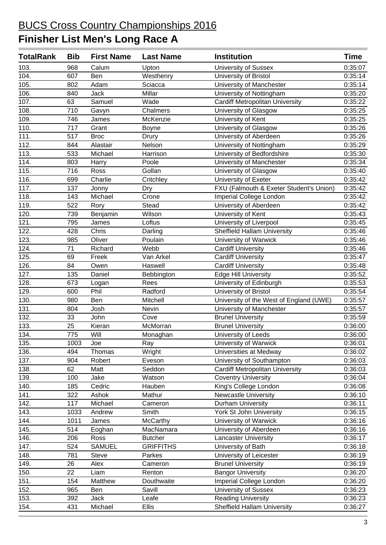| <b>TotalRank</b>   | <b>Bib</b> | <b>First Name</b> | <b>Last Name</b> | <b>Institution</b>                      | Time    |
|--------------------|------------|-------------------|------------------|-----------------------------------------|---------|
| 103.               | 968        | Calum             | Upton            | University of Sussex                    | 0:35:07 |
| 104.               | 607        | Ben               | Westhenry        | University of Bristol                   | 0:35:14 |
| 105.               | 802        | Adam              | Sciacca          | University of Manchester                | 0:35:14 |
| 106.               | 840        | Jack              | Millar           | University of Nottingham                | 0:35:20 |
| 107.               | 63         | Samuel            | Wade             | <b>Cardiff Metropolitan University</b>  | 0:35:22 |
| 108.               | 710        | Gavyn             | Chalmers         | University of Glasgow                   | 0:35:25 |
| 109.               | 746        | James             | McKenzie         | University of Kent                      | 0:35:25 |
| 110.               | 717        | Grant             | Boyne            | University of Glasgow                   | 0:35:26 |
| 111.               | 517        | <b>Broc</b>       | Drury            | University of Aberdeen                  | 0:35:26 |
| $\overline{112}$ . | 844        | Alastair          | Nelson           | University of Nottingham                | 0:35:29 |
| 113.               | 533        | Michael           | Harrison         | University of Bedfordshire              | 0:35:30 |
| 114.               | 803        | Harry             | Poole            | University of Manchester                | 0:35:34 |
| 115.               | 716        | Ross              | Gollan           | University of Glasgow                   | 0:35:40 |
| 116.               | 699        | Charlie           | Critchley        | University of Exeter                    | 0:35:42 |
| 117.               | 137        | Jonny             | Dry              | FXU (Falmouth & Exeter Student's Union) | 0:35:42 |
| 118.               | 143        | Michael           | Crone            | Imperial College London                 | 0:35:42 |
| 119.               | 522        | Rory              | <b>Stead</b>     | University of Aberdeen                  | 0:35:42 |
| 120.               | 739        | Benjamin          | Wilson           | University of Kent                      | 0:35:43 |
| 121.               | 795        | James             | Loftus           | University of Liverpool                 | 0:35:45 |
| 122.               | 428        | Chris             | Darling          | <b>Sheffield Hallam University</b>      | 0:35:46 |
| 123.               | 985        | Oliver            | Poulain          | University of Warwick                   | 0:35:46 |
| 124.               | 71         | Richard           | Webb             | <b>Cardiff University</b>               | 0:35:46 |
| 125.               | 69         | Freek             | Van Arkel        | <b>Cardiff University</b>               | 0:35:47 |
| 126.               | 84         | Owen              | Haswell          | <b>Cardiff University</b>               | 0:35:48 |
| 127.               | 135        | Daniel            | Bebbington       | <b>Edge Hill University</b>             | 0:35:52 |
| 128.               | 673        | Logan             | Rees             | University of Edinburgh                 | 0:35:53 |
| 129.               | 600        | Phil              | Radford          | University of Bristol                   | 0:35:54 |
| 130.               | 980        | Ben               | Mitchell         | University of the West of England (UWE) | 0:35:57 |
| 131.               | 804        | Josh              | Nevin            | University of Manchester                | 0:35:57 |
| 132.               | 33         | John              | Cove             | <b>Brunel University</b>                | 0:35:59 |
| 133.               | 25         | Kieran            | McMorran         | <b>Brunel University</b>                | 0:36:00 |
| 134.               | 775        | Will              | Monaghan         | University of Leeds                     | 0:36:00 |
| 135.               | 1003       | Joe               | Ray              | University of Warwick                   | 0:36:01 |
| 136.               | 494        | Thomas            | Wright           | Universities at Medway                  | 0:36:02 |
| 137.               | 904        | Robert            | Eveson           | University of Southampton               | 0:36:03 |
| 138.               | 62         | Matt              | Seddon           | <b>Cardiff Metropolitan University</b>  | 0:36:03 |
| 139.               | 100        | Jake              | Watson           | <b>Coventry University</b>              | 0:36:04 |
| 140.               | 185        | Cedric            | Hauben           | King's College London                   | 0:36:08 |
| 141.               | 322        | Ashok             | Mathur           | <b>Newcastle University</b>             | 0:36:10 |
| 142.               | 117        | Michael           | Cameron          | Durham University                       | 0:36:11 |
| 143.               | 1033       | Andrew            | Smith            | York St John University                 | 0:36:15 |
| 144.               | 1011       | James             | McCarthy         | University of Warwick                   | 0:36:16 |
| 145.               | 514        | Eoghan            | MacNamara        | University of Aberdeen                  | 0:36:16 |
| 146.               | 206        | Ross              | <b>Butcher</b>   | <b>Lancaster University</b>             | 0:36:17 |
| 147.               | 524        | <b>SAMUEL</b>     | <b>GRIFFITHS</b> | University of Bath                      | 0:36:18 |
| 148.               | 781        | <b>Steve</b>      | Parkes           | University of Leicester                 | 0:36:19 |
| 149.               | 26         | Alex              | Cameron          | <b>Brunel University</b>                | 0:36:19 |
| 150.               | 22         | Liam              | Renton           | <b>Bangor University</b>                | 0:36:20 |
| 151.               | 154        | Matthew           | Douthwaite       | Imperial College London                 | 0:36:20 |
| 152.               | 965        | Ben               | Savill           | <b>University of Sussex</b>             | 0:36:23 |
| 153.               | 392        | Jack              | Leafe            | <b>Reading University</b>               | 0:36:23 |
| 154.               | 431        | Michael           | <b>Ellis</b>     | <b>Sheffield Hallam University</b>      | 0:36:27 |
|                    |            |                   |                  |                                         |         |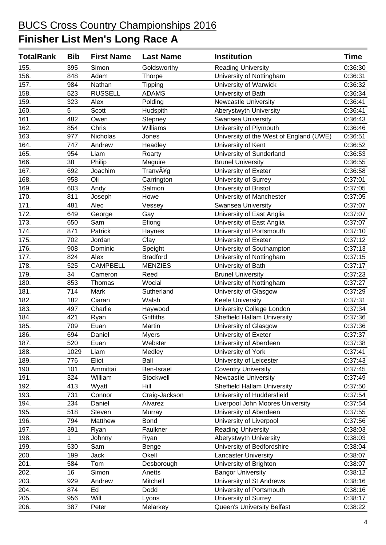| <b>TotalRank</b> | <b>Bib</b>  | <b>First Name</b> | <b>Last Name</b> | <b>Institution</b>                      | <b>Time</b> |
|------------------|-------------|-------------------|------------------|-----------------------------------------|-------------|
| 155.             | 395         | Simon             | Goldsworthy      | <b>Reading University</b>               | 0:36:30     |
| 156.             | 848         | Adam              | Thorpe           | University of Nottingham                | 0:36:31     |
| 157.             | 984         | Nathan            | Tipping          | University of Warwick                   | 0:36:32     |
| 158.             | 523         | <b>RUSSELL</b>    | <b>ADAMS</b>     | University of Bath                      | 0:36:34     |
| 159.             | 323         | Alex              | Polding          | <b>Newcastle University</b>             | 0:36:41     |
| 160.             | 5           | Scott             | Hudspith         | Aberystwyth University                  | 0:36:41     |
| 161.             | 482         | Owen              | Stepney          | Swansea University                      | 0:36:43     |
| 162.             | 854         | Chris             | Williams         | University of Plymouth                  | 0:36:46     |
| 163.             | 977         | Nicholas          | Jones            | University of the West of England (UWE) | 0:36:51     |
| 164.             | 747         | Andrew            | Headley          | University of Kent                      | 0:36:52     |
| 165.             | 954         | Liam              | Roarty           | University of Sunderland                | 0:36:53     |
| 166.             | 38          | Philip            | Maguire          | <b>Brunel University</b>                | 0:36:55     |
| 167.             | 692         | Joachim           | Tranvåg          | University of Exeter                    | 0:36:58     |
| 168.             | 958         | Oli               | Carrington       | University of Surrey                    | 0:37:01     |
| 169.             | 603         | Andy              | Salmon           | University of Bristol                   | 0:37:05     |
| 170.             | 811         | Joseph            | Howe             | University of Manchester                | 0:37:05     |
| 171.             | 481         | Alec              | Vessey           | <b>Swansea University</b>               | 0:37:07     |
| 172.             | 649         | George            | Gay              | University of East Anglia               | 0:37:07     |
| 173.             | 650         | Sam               | Efiong           | University of East Anglia               | 0:37:07     |
| 174.             | 871         | Patrick           | Haynes           | University of Portsmouth                | 0:37:10     |
| 175.             | 702         | Jordan            | Clay             | University of Exeter                    | 0:37:12     |
| 176.             | 908         | Dominic           | Speight          | University of Southampton               | 0:37:13     |
| 177.             | 824         | Alex              | <b>Bradford</b>  | University of Nottingham                | 0:37:15     |
| 178.             | 525         | <b>CAMPBELL</b>   | <b>MENZIES</b>   | University of Bath                      | 0:37:17     |
| 179.             | 34          | Cameron           | Reed             | <b>Brunel University</b>                | 0:37:23     |
| 180.             | 853         | Thomas            | Wocial           | University of Nottingham                | 0:37:27     |
| 181.             | 714         | Mark              | Sutherland       | University of Glasgow                   | 0:37:29     |
| 182.             | 182         | Ciaran            | Walsh            | <b>Keele University</b>                 | 0:37:31     |
| 183.             | 497         | Charlie           | Haywood          | <b>University College London</b>        | 0:37:34     |
| 184.             | 421         | Ryan              | Griffiths        | <b>Sheffield Hallam University</b>      | 0:37:36     |
| 185.             | 709         | Euan              | Martin           | University of Glasgow                   | 0:37:36     |
| 186.             | 694         | Daniel            | <b>Myers</b>     | University of Exeter                    | 0:37:37     |
| 187.             | 520         | Euan              | Webster          | University of Aberdeen                  | 0:37:38     |
| 188.             | 1029        | Liam              | Medley           | University of York                      | 0:37:41     |
| 189.             | 776         | Eliot             | Ball             | University of Leicester                 | 0:37:43     |
| 190.             | 101         | Ammittai          | Ben-Israel       | <b>Coventry University</b>              | 0:37:45     |
| 191.             | 324         | William           | Stockwell        | <b>Newcastle University</b>             | 0:37:49     |
| 192.             | 413         | Wyatt             | Hill             | <b>Sheffield Hallam University</b>      | 0:37:50     |
| 193.             | 731         | Connor            | Craig-Jackson    | University of Huddersfield              | 0:37:54     |
| 194.             | 234         | Daniel            | Alvarez          | Liverpool John Moores University        | 0:37:54     |
| 195.             | 518         | Steven            | Murray           | University of Aberdeen                  | 0:37:55     |
| 196.             | 794         | Matthew           | <b>Bond</b>      | University of Liverpool                 | 0:37:56     |
| 197.             | 391         | Ryan              | Faulkner         | <b>Reading University</b>               | 0:38:03     |
| 198.             | $\mathbf 1$ | Johnny            | Ryan             | Aberystwyth University                  | 0:38:03     |
| 199.             | 530         | Sam               | Benge            | University of Bedfordshire              | 0:38:04     |
| 200.             | 199         | Jack              | Okell            | <b>Lancaster University</b>             | 0:38:07     |
| 201.             | 584         | Tom               | Desborough       | University of Brighton                  | 0:38:07     |
| 202.             | 16          | Simon             | Anetts           | <b>Bangor University</b>                | 0:38:12     |
| 203.             | 929         | Andrew            | Mitchell         | University of St Andrews                | 0:38:16     |
| 204.             | 874         | Ed                | Dodd             | University of Portsmouth                | 0:38:16     |
| 205.             | 956         | Will              | Lyons            | University of Surrey                    | 0:38:17     |
| 206.             | 387         | Peter             | Melarkey         | Queen's University Belfast              | 0:38:22     |
|                  |             |                   |                  |                                         |             |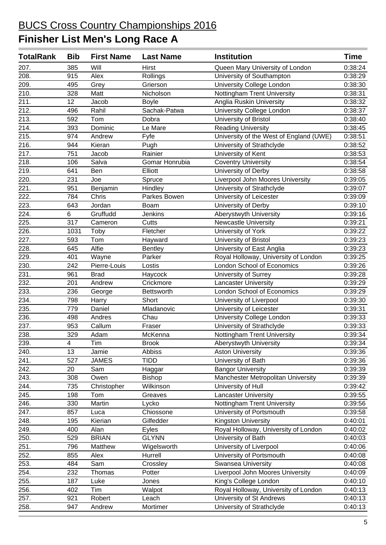| <b>TotalRank</b>   | <b>Bib</b> | <b>First Name</b> | <b>Last Name</b> | <b>Institution</b>                      | Time    |
|--------------------|------------|-------------------|------------------|-----------------------------------------|---------|
| 207.               | 385        | Will              | <b>Hirst</b>     | Queen Mary University of London         | 0:38:24 |
| 208.               | 915        | Alex              | Rollings         | University of Southampton               | 0:38:29 |
| 209.               | 495        | Grey              | Grierson         | University College London               | 0:38:30 |
| 210.               | 328        | Matt              | Nicholson        | Nottingham Trent University             | 0:38:31 |
| 211.               | 12         | Jacob             | <b>Boyle</b>     | Anglia Ruskin University                | 0:38:32 |
| 212.               | 496        | Rahil             | Sachak-Patwa     | University College London               | 0:38:37 |
| 213.               | 592        | Tom               | Dobra            | University of Bristol                   | 0:38:40 |
| 214.               | 393        | Dominic           | Le Mare          | <b>Reading University</b>               | 0:38:45 |
| 215.               | 974        | Andrew            | Fyfe             | University of the West of England (UWE) | 0:38:51 |
| 216.               | 944        | Kieran            | Pugh             | University of Strathclyde               | 0:38:52 |
| 217.               | 751        | Jacob             | Rainier          | University of Kent                      | 0:38:53 |
| 218.               | 106        | Salva             | Gomar Honrubia   | <b>Coventry University</b>              | 0:38:54 |
| 219.               | 641        | Ben               | Elliott          | University of Derby                     | 0:38:58 |
| 220.               | 231        | Joe               | Spruce           | Liverpool John Moores University        | 0:39:05 |
| 221.               | 951        | Benjamin          | Hindley          | University of Strathclyde               | 0:39:07 |
| 222.               | 784        | Chris             | Parkes Bowen     | University of Leicester                 | 0:39:09 |
| 223.               | 643        | Jordan            | Boam             | University of Derby                     | 0:39:10 |
| 224.               | 6          | Gruffudd          | Jenkins          | Aberystwyth University                  | 0:39:16 |
| $\overline{225}$ . | 317        | Cameron           | Cutts            | <b>Newcastle University</b>             | 0:39:21 |
| 226.               | 1031       | Toby              | Fletcher         | University of York                      | 0:39:22 |
| 227.               | 593        | Tom               | Hayward          | University of Bristol                   | 0:39:23 |
| 228.               | 645        | Alfie             | <b>Bentley</b>   | University of East Anglia               | 0:39:23 |
| 229.               | 401        | Wayne             | Parker           | Royal Holloway, University of London    | 0:39:25 |
| 230.               | 242        | Pierre-Louis      | Lostis           | London School of Economics              | 0:39:26 |
| 231.               | 961        | <b>Brad</b>       | Haycock          | University of Surrey                    | 0:39:28 |
| 232.               | 201        | Andrew            | Crickmore        | <b>Lancaster University</b>             | 0:39:29 |
| 233.               | 236        | George            | Bettsworth       | London School of Economics              | 0:39:29 |
| 234.               | 798        | Harry             | Short            | University of Liverpool                 | 0:39:30 |
| 235.               | 779        | Daniel            | Mladanovic       | University of Leicester                 | 0:39:31 |
| 236.               | 498        | Andres            | Chau             | University College London               | 0:39:33 |
| 237.               | 953        | Callum            | Fraser           | University of Strathclyde               | 0:39:33 |
| 238.               | 329        | Adam              | McKenna          | Nottingham Trent University             | 0:39:34 |
| 239.               | 4          | Tim               | <b>Brook</b>     | Aberystwyth University                  | 0:39:34 |
| 240.               | 13         | Jamie             | <b>Abbiss</b>    | <b>Aston University</b>                 | 0:39:36 |
| 241.               | 527        | <b>JAMES</b>      | <b>TIDD</b>      | University of Bath                      | 0:39:36 |
| 242.               | 20         | Sam               | Haggar           | <b>Bangor University</b>                | 0:39:39 |
| 243.               | 308        | Owen              | <b>Bishop</b>    | Manchester Metropolitan University      | 0:39:39 |
| 244.               | 735        | Christopher       | Wilkinson        | University of Hull                      | 0:39:42 |
| 245.               | 198        | Tom               | Greaves          | Lancaster University                    | 0:39:55 |
| 246.               | 330        | Martin            | Lycko            | Nottingham Trent University             | 0:39:56 |
| 247.               | 857        | Luca              | Chiossone        | University of Portsmouth                | 0:39:58 |
| 248.               | 195        | Kierian           | Gilfedder        | Kingston University                     | 0:40:01 |
| 249.               | 400        | Alan              | Eyles            | Royal Holloway, University of London    | 0:40:02 |
| 250.               | 529        | <b>BRIAN</b>      | <b>GLYNN</b>     | University of Bath                      | 0:40:03 |
| 251.               | 796        | Matthew           | Wigelsworth      | University of Liverpool                 | 0:40:06 |
| 252.               | 855        | Alex              | Hurrell          | University of Portsmouth                | 0:40:08 |
| 253.               | 484        | Sam               | Crossley         | <b>Swansea University</b>               | 0:40:08 |
| 254.               | 232        | Thomas            | Potter           | Liverpool John Moores University        | 0:40:09 |
| 255.               | 187        | Luke              | Jones            | King's College London                   | 0:40:10 |
| 256.               | 402        | Tim               | Walpot           | Royal Holloway, University of London    | 0:40:13 |
| 257.               | 921        | Robert            | Leach            | University of St Andrews                | 0:40:13 |
| 258.               | 947        | Andrew            | Mortimer         | University of Strathclyde               | 0:40:13 |
|                    |            |                   |                  |                                         |         |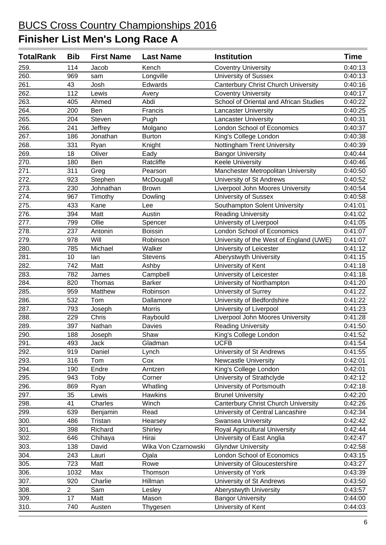| <b>TotalRank</b>  | <b>Bib</b>     | <b>First Name</b> | <b>Last Name</b>    | <b>Institution</b>                         | <b>Time</b> |
|-------------------|----------------|-------------------|---------------------|--------------------------------------------|-------------|
| 259.              | 114            | Jacob             | Kench               | <b>Coventry University</b>                 | 0:40:13     |
| 260.              | 969            | sam               | Longville           | <b>University of Sussex</b>                | 0:40:13     |
| 261.              | 43             | Josh              | Edwards             | <b>Canterbury Christ Church University</b> | 0:40:16     |
| 262.              | 112            | Lewis             | Avery               | <b>Coventry University</b>                 | 0:40:17     |
| 263.              | 405            | Ahmed             | Abdi                | School of Oriental and African Studies     | 0:40:22     |
| 264.              | 200            | Ben               | Francis             | <b>Lancaster University</b>                | 0:40:25     |
| 265.              | 204            | Steven            | Pugh                | <b>Lancaster University</b>                | 0:40:31     |
| 266.              | 241            | Jeffrey           | Molgano             | <b>London School of Economics</b>          | 0:40:37     |
| 267.              | 186            | Jonathan          | <b>Burton</b>       | King's College London                      | 0:40:38     |
| 268.              | 331            | Ryan              | Knight              | Nottingham Trent University                | 0:40:39     |
| 269.              | 18             | Oliver            | Eady                | <b>Bangor University</b>                   | 0:40:44     |
| 270.              | 180            | Ben               | Ratcliffe           | <b>Keele University</b>                    | 0:40:46     |
| 271.              | 311            | Greg              | Pearson             | Manchester Metropolitan University         | 0:40:50     |
| 272.              | 923            | Stephen           | McDougall           | University of St Andrews                   | 0:40:52     |
| 273.              | 230            | Johnathan         | <b>Brown</b>        | Liverpool John Moores University           | 0:40:54     |
| 274.              | 967            | Timothy           | Dowling             | <b>University of Sussex</b>                | 0:40:58     |
| 275.              | 433            | Kane              | Lee                 | Southampton Solent University              | 0:41:01     |
| 276.              | 394            | Matt              | Austin              | <b>Reading University</b>                  | 0:41:02     |
| 277.              | 799            | Ollie             | Spencer             | University of Liverpool                    | 0:41:05     |
| 278.              | 237            | Antonin           | <b>Boissin</b>      | London School of Economics                 | 0:41:07     |
| 279.              | 978            | Will              | Robinson            | University of the West of England (UWE)    | 0:41:07     |
| 280.              | 785            | Michael           | Walker              | University of Leicester                    | 0:41:12     |
| 281.              | 10             | lan               | <b>Stevens</b>      | Aberystwyth University                     | 0:41:15     |
| 282.              | 742            | Matt              | Ashby               | University of Kent                         | 0:41:18     |
| 283.              | 782            | James             | Campbell            | University of Leicester                    | 0:41:18     |
| 284.              | 820            | Thomas            | <b>Barker</b>       | University of Northampton                  | 0:41:20     |
| 285.              | 959            | Matthew           | Robinson            | University of Surrey                       | 0:41:22     |
| 286.              | 532            | Tom               | Dallamore           | University of Bedfordshire                 | 0:41:22     |
| 287.              | 793            | Joseph            | Morris              | University of Liverpool                    | 0:41:23     |
| 288.              | 229            | Chris             | Raybould            | Liverpool John Moores University           | 0:41:28     |
| 289.              | 397            | Nathan            | Davies              | <b>Reading University</b>                  | 0:41:50     |
| 290.              | 188            | Joseph            | Shaw                | King's College London                      | 0:41:52     |
| 291.              | 493            | Jack              | Gladman             | <b>UCFB</b>                                | 0:41:54     |
| 292.              | 919            | Daniel            | Lynch               | University of St Andrews                   | 0:41:55     |
| 293.              | 316            | Tom               | Cox                 | <b>Newcastle University</b>                | 0:42:01     |
| 294.              | 190            | Endre             | Arntzen             | King's College London                      | 0:42:01     |
| 295.              | 943            | Toby              | Corner              | University of Strathclyde                  | 0:42:12     |
| 296.              | 869            | Ryan              | Whatling            | University of Portsmouth                   | 0:42:18     |
| 297.              | 35             | Lewis             | Hawkins             | <b>Brunel University</b>                   | 0:42:20     |
| 298.              | 41             | Charles           | Winch               | Canterbury Christ Church University        | 0:42:26     |
| 299.              | 639            | Benjamin          | Read                | University of Central Lancashire           | 0:42:34     |
| $\frac{1}{300}$ . | 486            | Tristan           | Hearsey             | Swansea University                         | 0:42:42     |
| 301.              | 398            | Richard           | Shirley             | <b>Royal Agricultural University</b>       | 0:42:44     |
| 302.              | 646            | Chihaya           | Hirai               | University of East Anglia                  | 0:42:47     |
| 303.              | 138            | David             | Wika Von Czarnowski | <b>Glyndwr University</b>                  | 0:42:58     |
| 304.              | 243            | Lauri             | Ojala               | London School of Economics                 | 0:43:15     |
| 305.              | 723            | Matt              | Rowe                | University of Gloucestershire              | 0:43:27     |
| 306.              | 1032           | Max               | Thomson             | University of York                         | 0:43:39     |
| 307.              | 920            | Charlie           | Hillman             | University of St Andrews                   | 0:43:50     |
| 308.              | $\overline{2}$ | Sam               | Lesley              | Aberystwyth University                     | 0:43:57     |
| 309.              | 17             | Matt              | Mason               | <b>Bangor University</b>                   | 0:44:00     |
| 310.              | 740            | Austen            | Thygesen            | University of Kent                         | 0:44:03     |